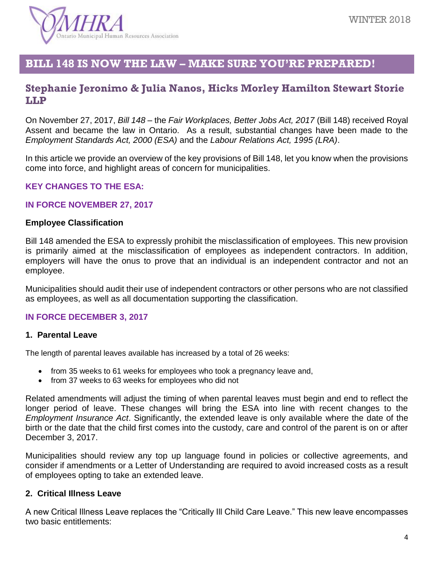

# **BILL 148 IS NOW THE LAW – MAKE SURE YOU'RE PREPARED!**

## **Stephanie Jeronimo & Julia Nanos, Hicks Morley Hamilton Stewart Storie LLP**

On November 27, 2017, *Bill 148 –* the *Fair Workplaces, Better Jobs Act, 2017* (Bill 148) received Royal Assent and became the law in Ontario. As a result, substantial changes have been made to the *Employment Standards Act, 2000 (ESA)* and the *Labour Relations Act, 1995 (LRA)*.

In this article we provide an overview of the key provisions of Bill 148, let you know when the provisions come into force, and highlight areas of concern for municipalities.

### **KEY CHANGES TO THE ESA:**

### **IN FORCE NOVEMBER 27, 2017**

#### **Employee Classification**

Bill 148 amended the ESA to expressly prohibit the misclassification of employees. This new provision is primarily aimed at the misclassification of employees as independent contractors. In addition, employers will have the onus to prove that an individual is an independent contractor and not an employee.

Municipalities should audit their use of independent contractors or other persons who are not classified as employees, as well as all documentation supporting the classification.

### **IN FORCE DECEMBER 3, 2017**

#### **1. Parental Leave**

The length of parental leaves available has increased by a total of 26 weeks:

- from 35 weeks to 61 weeks for employees who took a pregnancy leave and,
- from 37 weeks to 63 weeks for employees who did not

Related amendments will adjust the timing of when parental leaves must begin and end to reflect the longer period of leave. These changes will bring the ESA into line with recent changes to the *Employment Insurance Act*. Significantly, the extended leave is only available where the date of the birth or the date that the child first comes into the custody, care and control of the parent is on or after December 3, 2017.

Municipalities should review any top up language found in policies or collective agreements, and consider if amendments or a Letter of Understanding are required to avoid increased costs as a result of employees opting to take an extended leave.

#### **2. Critical Illness Leave**

A new Critical Illness Leave replaces the "Critically Ill Child Care Leave." This new leave encompasses two basic entitlements: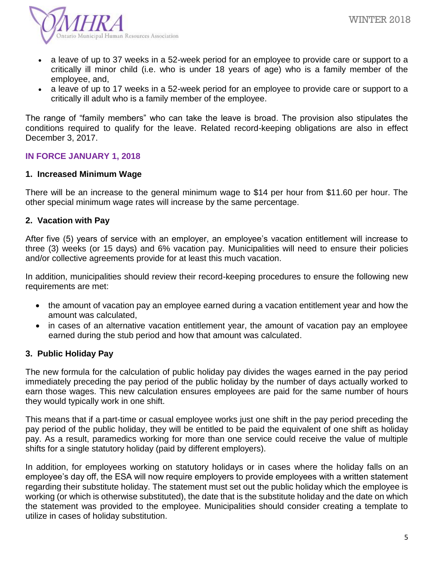

- a leave of up to 37 weeks in a 52-week period for an employee to provide care or support to a critically ill minor child (i.e. who is under 18 years of age) who is a family member of the employee, and,
- a leave of up to 17 weeks in a 52-week period for an employee to provide care or support to a critically ill adult who is a family member of the employee.

The range of "family members" who can take the leave is broad. The provision also stipulates the conditions required to qualify for the leave. Related record-keeping obligations are also in effect December 3, 2017.

### **IN FORCE JANUARY 1, 2018**

### **1. Increased Minimum Wage**

There will be an increase to the general minimum wage to \$14 per hour from \$11.60 per hour. The other special minimum wage rates will increase by the same percentage.

### **2. Vacation with Pay**

After five (5) years of service with an employer, an employee's vacation entitlement will increase to three (3) weeks (or 15 days) and 6% vacation pay. Municipalities will need to ensure their policies and/or collective agreements provide for at least this much vacation.

In addition, municipalities should review their record-keeping procedures to ensure the following new requirements are met:

- the amount of vacation pay an employee earned during a vacation entitlement year and how the amount was calculated,
- in cases of an alternative vacation entitlement year, the amount of vacation pay an employee earned during the stub period and how that amount was calculated.

### **3. Public Holiday Pay**

The new formula for the calculation of public holiday pay divides the wages earned in the pay period immediately preceding the pay period of the public holiday by the number of days actually worked to earn those wages. This new calculation ensures employees are paid for the same number of hours they would typically work in one shift.

This means that if a part-time or casual employee works just one shift in the pay period preceding the pay period of the public holiday, they will be entitled to be paid the equivalent of one shift as holiday pay. As a result, paramedics working for more than one service could receive the value of multiple shifts for a single statutory holiday (paid by different employers).

In addition, for employees working on statutory holidays or in cases where the holiday falls on an employee's day off, the ESA will now require employers to provide employees with a written statement regarding their substitute holiday. The statement must set out the public holiday which the employee is working (or which is otherwise substituted), the date that is the substitute holiday and the date on which the statement was provided to the employee. Municipalities should consider creating a template to utilize in cases of holiday substitution.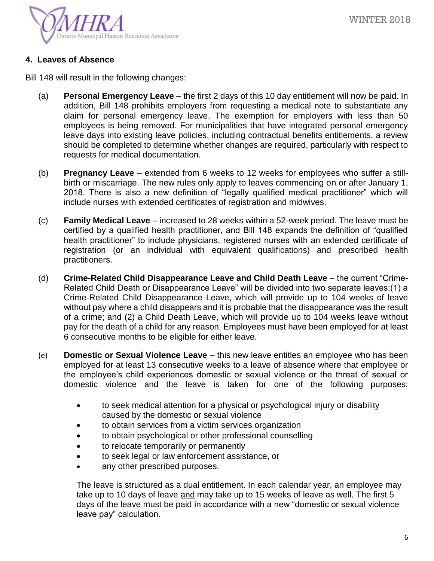

## **4. Leaves of Absence**

Bill 148 will result in the following changes:

- (a) **Personal Emergency Leave** the first 2 days of this 10 day entitlement will now be paid. In addition, Bill 148 prohibits employers from requesting a medical note to substantiate any claim for personal emergency leave. The exemption for employers with less than 50 employees is being removed. For municipalities that have integrated personal emergency leave days into existing leave policies, including contractual benefits entitlements, a review should be completed to determine whether changes are required, particularly with respect to requests for medical documentation.
- (b) **Pregnancy Leave** extended from 6 weeks to 12 weeks for employees who suffer a stillbirth or miscarriage. The new rules only apply to leaves commencing on or after January 1, 2018. There is also a new definition of "legally qualified medical practitioner" which will include nurses with extended certificates of registration and midwives.
- (c) **Family Medical Leave** increased to 28 weeks within a 52-week period. The leave must be certified by a qualified health practitioner, and Bill 148 expands the definition of "qualified health practitioner" to include physicians, registered nurses with an extended certificate of registration (or an individual with equivalent qualifications) and prescribed health practitioners.
- (d) **Crime-Related Child Disappearance Leave and Child Death Leave** the current "Crime-Related Child Death or Disappearance Leave" will be divided into two separate leaves:(1) a Crime-Related Child Disappearance Leave, which will provide up to 104 weeks of leave without pay where a child disappears and it is probable that the disappearance was the result of a crime; and (2) a Child Death Leave, which will provide up to 104 weeks leave without pay for the death of a child for any reason. Employees must have been employed for at least 6 consecutive months to be eligible for either leave.
- (e) **Domestic or Sexual Violence Leave** this new leave entitles an employee who has been employed for at least 13 consecutive weeks to a leave of absence where that employee or the employee's child experiences domestic or sexual violence or the threat of sexual or domestic violence and the leave is taken for one of the following purposes:
	- to seek medical attention for a physical or psychological injury or disability caused by the domestic or sexual violence
	- to obtain services from a victim services organization
	- to obtain psychological or other professional counselling
	- to relocate temporarily or permanently
	- to seek legal or law enforcement assistance, or
	- any other prescribed purposes.

The leave is structured as a dual entitlement. In each calendar year, an employee may take up to 10 days of leave and may take up to 15 weeks of leave as well. The first 5 days of the leave must be paid in accordance with a new "domestic or sexual violence leave pay" calculation.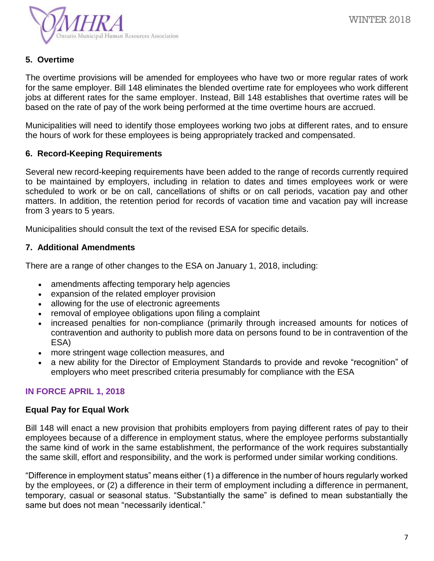

## **5. Overtime**

The overtime provisions will be amended for employees who have two or more regular rates of work for the same employer. Bill 148 eliminates the blended overtime rate for employees who work different jobs at different rates for the same employer. Instead, Bill 148 establishes that overtime rates will be based on the rate of pay of the work being performed at the time overtime hours are accrued.

Municipalities will need to identify those employees working two jobs at different rates, and to ensure the hours of work for these employees is being appropriately tracked and compensated.

## **6. Record-Keeping Requirements**

Several new record-keeping requirements have been added to the range of records currently required to be maintained by employers, including in relation to dates and times employees work or were scheduled to work or be on call, cancellations of shifts or on call periods, vacation pay and other matters. In addition, the retention period for records of vacation time and vacation pay will increase from 3 years to 5 years.

Municipalities should consult the text of the revised ESA for specific details.

## **7. Additional Amendments**

There are a range of other changes to the ESA on January 1, 2018, including:

- amendments affecting temporary help agencies
- expansion of the related employer provision
- allowing for the use of electronic agreements
- removal of employee obligations upon filing a complaint
- increased penalties for non-compliance (primarily through increased amounts for notices of contravention and authority to publish more data on persons found to be in contravention of the ESA)
- more stringent wage collection measures, and
- a new ability for the Director of Employment Standards to provide and revoke "recognition" of employers who meet prescribed criteria presumably for compliance with the ESA

## **IN FORCE APRIL 1, 2018**

### **Equal Pay for Equal Work**

Bill 148 will enact a new provision that prohibits employers from paying different rates of pay to their employees because of a difference in employment status, where the employee performs substantially the same kind of work in the same establishment, the performance of the work requires substantially the same skill, effort and responsibility, and the work is performed under similar working conditions.

"Difference in employment status" means either (1) a difference in the number of hours regularly worked by the employees, or (2) a difference in their term of employment including a difference in permanent, temporary, casual or seasonal status. "Substantially the same" is defined to mean substantially the same but does not mean "necessarily identical."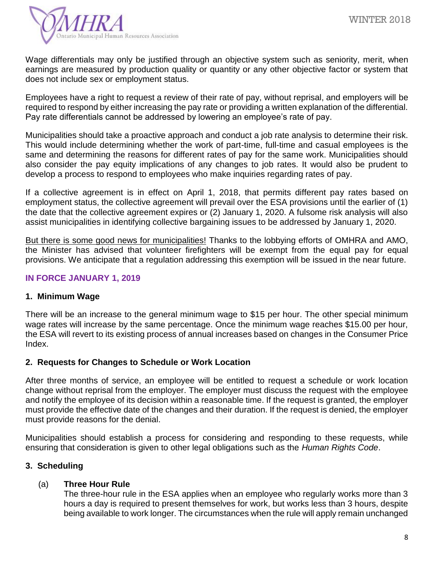

Wage differentials may only be justified through an objective system such as seniority, merit, when earnings are measured by production quality or quantity or any other objective factor or system that does not include sex or employment status.

Employees have a right to request a review of their rate of pay, without reprisal, and employers will be required to respond by either increasing the pay rate or providing a written explanation of the differential. Pay rate differentials cannot be addressed by lowering an employee's rate of pay.

Municipalities should take a proactive approach and conduct a job rate analysis to determine their risk. This would include determining whether the work of part-time, full-time and casual employees is the same and determining the reasons for different rates of pay for the same work. Municipalities should also consider the pay equity implications of any changes to job rates. It would also be prudent to develop a process to respond to employees who make inquiries regarding rates of pay.

If a collective agreement is in effect on April 1, 2018, that permits different pay rates based on employment status, the collective agreement will prevail over the ESA provisions until the earlier of (1) the date that the collective agreement expires or (2) January 1, 2020. A fulsome risk analysis will also assist municipalities in identifying collective bargaining issues to be addressed by January 1, 2020.

But there is some good news for municipalities! Thanks to the lobbying efforts of OMHRA and AMO, the Minister has advised that volunteer firefighters will be exempt from the equal pay for equal provisions. We anticipate that a regulation addressing this exemption will be issued in the near future.

## **IN FORCE JANUARY 1, 2019**

## **1. Minimum Wage**

There will be an increase to the general minimum wage to \$15 per hour. The other special minimum wage rates will increase by the same percentage. Once the minimum wage reaches \$15.00 per hour, the ESA will revert to its existing process of annual increases based on changes in the Consumer Price Index.

## **2. Requests for Changes to Schedule or Work Location**

After three months of service, an employee will be entitled to request a schedule or work location change without reprisal from the employer. The employer must discuss the request with the employee and notify the employee of its decision within a reasonable time. If the request is granted, the employer must provide the effective date of the changes and their duration. If the request is denied, the employer must provide reasons for the denial.

Municipalities should establish a process for considering and responding to these requests, while ensuring that consideration is given to other legal obligations such as the *Human Rights Code*.

## **3. Scheduling**

## (a) **Three Hour Rule**

The three-hour rule in the ESA applies when an employee who regularly works more than 3 hours a day is required to present themselves for work, but works less than 3 hours, despite being available to work longer. The circumstances when the rule will apply remain unchanged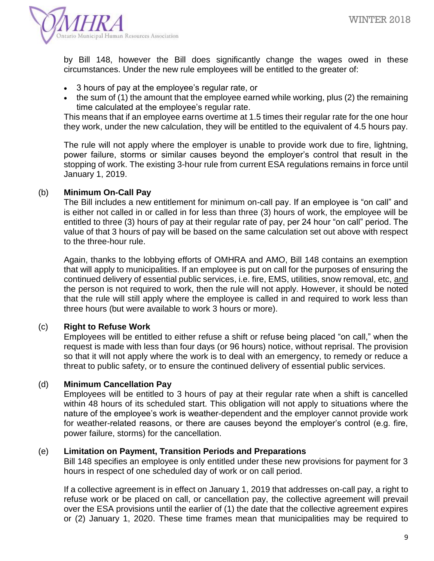

by Bill 148, however the Bill does significantly change the wages owed in these circumstances. Under the new rule employees will be entitled to the greater of:

- 3 hours of pay at the employee's regular rate, or
- the sum of (1) the amount that the employee earned while working, plus (2) the remaining time calculated at the employee's regular rate.

This means that if an employee earns overtime at 1.5 times their regular rate for the one hour they work, under the new calculation, they will be entitled to the equivalent of 4.5 hours pay.

The rule will not apply where the employer is unable to provide work due to fire, lightning, power failure, storms or similar causes beyond the employer's control that result in the stopping of work. The existing 3-hour rule from current ESA regulations remains in force until January 1, 2019.

## (b) **Minimum On-Call Pay**

The Bill includes a new entitlement for minimum on-call pay. If an employee is "on call" and is either not called in or called in for less than three (3) hours of work, the employee will be entitled to three (3) hours of pay at their regular rate of pay, per 24 hour "on call" period. The value of that 3 hours of pay will be based on the same calculation set out above with respect to the three-hour rule.

Again, thanks to the lobbying efforts of OMHRA and AMO, Bill 148 contains an exemption that will apply to municipalities. If an employee is put on call for the purposes of ensuring the continued delivery of essential public services, i.e. fire, EMS, utilities, snow removal, etc, and the person is not required to work, then the rule will not apply. However, it should be noted that the rule will still apply where the employee is called in and required to work less than three hours (but were available to work 3 hours or more).

## (c) **Right to Refuse Work**

Employees will be entitled to either refuse a shift or refuse being placed "on call," when the request is made with less than four days (or 96 hours) notice, without reprisal. The provision so that it will not apply where the work is to deal with an emergency, to remedy or reduce a threat to public safety, or to ensure the continued delivery of essential public services.

### (d) **Minimum Cancellation Pay**

Employees will be entitled to 3 hours of pay at their regular rate when a shift is cancelled within 48 hours of its scheduled start. This obligation will not apply to situations where the nature of the employee's work is weather-dependent and the employer cannot provide work for weather-related reasons, or there are causes beyond the employer's control (e.g. fire, power failure, storms) for the cancellation.

### (e) **Limitation on Payment, Transition Periods and Preparations**

Bill 148 specifies an employee is only entitled under these new provisions for payment for 3 hours in respect of one scheduled day of work or on call period.

If a collective agreement is in effect on January 1, 2019 that addresses on-call pay, a right to refuse work or be placed on call, or cancellation pay, the collective agreement will prevail over the ESA provisions until the earlier of (1) the date that the collective agreement expires or (2) January 1, 2020. These time frames mean that municipalities may be required to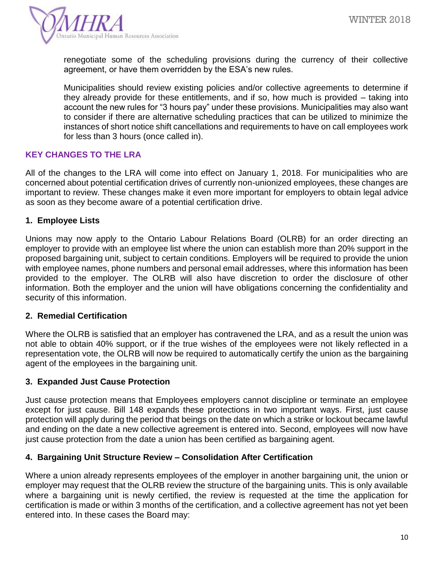

renegotiate some of the scheduling provisions during the currency of their collective agreement, or have them overridden by the ESA's new rules.

Municipalities should review existing policies and/or collective agreements to determine if they already provide for these entitlements, and if so, how much is provided – taking into account the new rules for "3 hours pay" under these provisions. Municipalities may also want to consider if there are alternative scheduling practices that can be utilized to minimize the instances of short notice shift cancellations and requirements to have on call employees work for less than 3 hours (once called in).

## **KEY CHANGES TO THE LRA**

All of the changes to the LRA will come into effect on January 1, 2018. For municipalities who are concerned about potential certification drives of currently non-unionized employees, these changes are important to review. These changes make it even more important for employers to obtain legal advice as soon as they become aware of a potential certification drive.

## **1. Employee Lists**

Unions may now apply to the Ontario Labour Relations Board (OLRB) for an order directing an employer to provide with an employee list where the union can establish more than 20% support in the proposed bargaining unit, subject to certain conditions. Employers will be required to provide the union with employee names, phone numbers and personal email addresses, where this information has been provided to the employer. The OLRB will also have discretion to order the disclosure of other information. Both the employer and the union will have obligations concerning the confidentiality and security of this information.

### **2. Remedial Certification**

Where the OLRB is satisfied that an employer has contravened the LRA, and as a result the union was not able to obtain 40% support, or if the true wishes of the employees were not likely reflected in a representation vote, the OLRB will now be required to automatically certify the union as the bargaining agent of the employees in the bargaining unit.

## **3. Expanded Just Cause Protection**

Just cause protection means that Employees employers cannot discipline or terminate an employee except for just cause. Bill 148 expands these protections in two important ways. First, just cause protection will apply during the period that beings on the date on which a strike or lockout became lawful and ending on the date a new collective agreement is entered into. Second, employees will now have just cause protection from the date a union has been certified as bargaining agent.

### **4. Bargaining Unit Structure Review – Consolidation After Certification**

Where a union already represents employees of the employer in another bargaining unit, the union or employer may request that the OLRB review the structure of the bargaining units. This is only available where a bargaining unit is newly certified, the review is requested at the time the application for certification is made or within 3 months of the certification, and a collective agreement has not yet been entered into. In these cases the Board may: